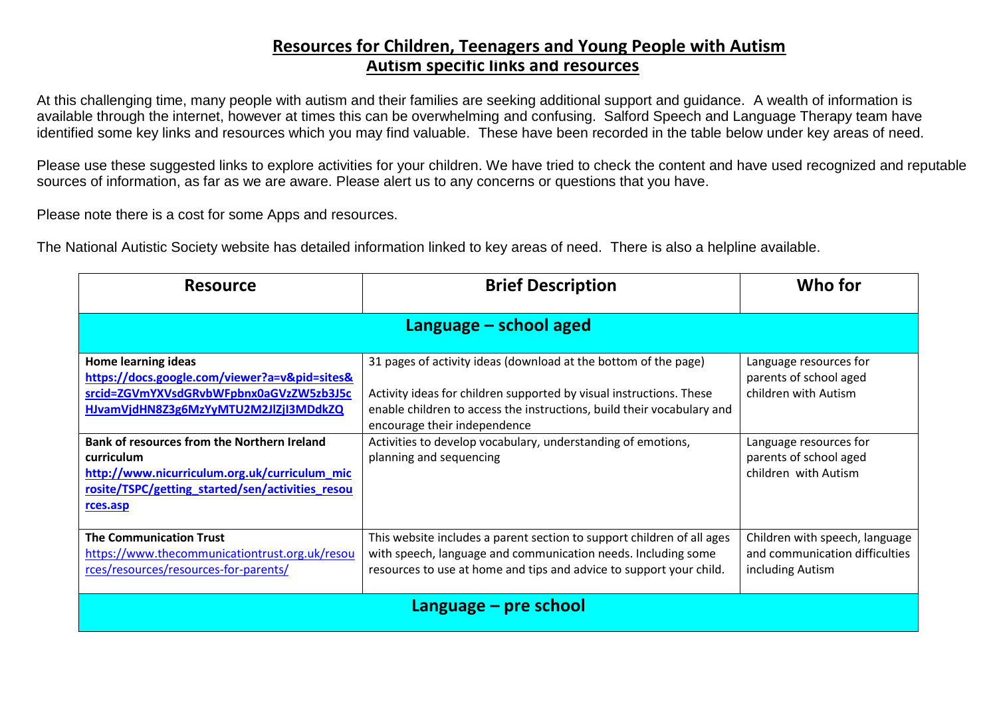## **Autism specific links and resources Resources for Children, Teenagers and Young People with Autism**

At this challenging time, many people with autism and their families are seeking additional support and guidance. A wealth of information is available through the internet, however at times this can be overwhelming and confusing. Salford Speech and Language Therapy team have identified some key links and resources which you may find valuable. These have been recorded in the table below under key areas of need.

Please use these suggested links to explore activities for your children. We have tried to check the content and have used recognized and reputable sources of information, as far as we are aware. Please alert us to any concerns or questions that you have.

Please note there is a cost for some Apps and resources.

The National Autistic Society website has detailed information linked to key areas of need. There is also a helpline available.

| <b>Resource</b>                                                                                                                                                            | <b>Brief Description</b>                                                                                                                                                                                                                         | Who for                                                                              |
|----------------------------------------------------------------------------------------------------------------------------------------------------------------------------|--------------------------------------------------------------------------------------------------------------------------------------------------------------------------------------------------------------------------------------------------|--------------------------------------------------------------------------------------|
| Language $-$ school aged                                                                                                                                                   |                                                                                                                                                                                                                                                  |                                                                                      |
| <b>Home learning ideas</b><br>https://docs.google.com/viewer?a=v&pid=sites&<br>srcid=ZGVmYXVsdGRvbWFpbnx0aGVzZW5zb3J5c<br>HJvamVjdHN8Z3g6MzYyMTU2M2JlZjI3MDdkZQ            | 31 pages of activity ideas (download at the bottom of the page)<br>Activity ideas for children supported by visual instructions. These<br>enable children to access the instructions, build their vocabulary and<br>encourage their independence | Language resources for<br>parents of school aged<br>children with Autism             |
| Bank of resources from the Northern Ireland<br>curriculum<br>http://www.nicurriculum.org.uk/curriculum_mic<br>rosite/TSPC/getting_started/sen/activities_resou<br>rces.asp | Activities to develop vocabulary, understanding of emotions,<br>planning and sequencing                                                                                                                                                          | Language resources for<br>parents of school aged<br>children with Autism             |
| <b>The Communication Trust</b><br>https://www.thecommunicationtrust.org.uk/resou<br>rces/resources/resources-for-parents/                                                  | This website includes a parent section to support children of all ages<br>with speech, language and communication needs. Including some<br>resources to use at home and tips and advice to support your child.                                   | Children with speech, language<br>and communication difficulties<br>including Autism |
| Language - pre school                                                                                                                                                      |                                                                                                                                                                                                                                                  |                                                                                      |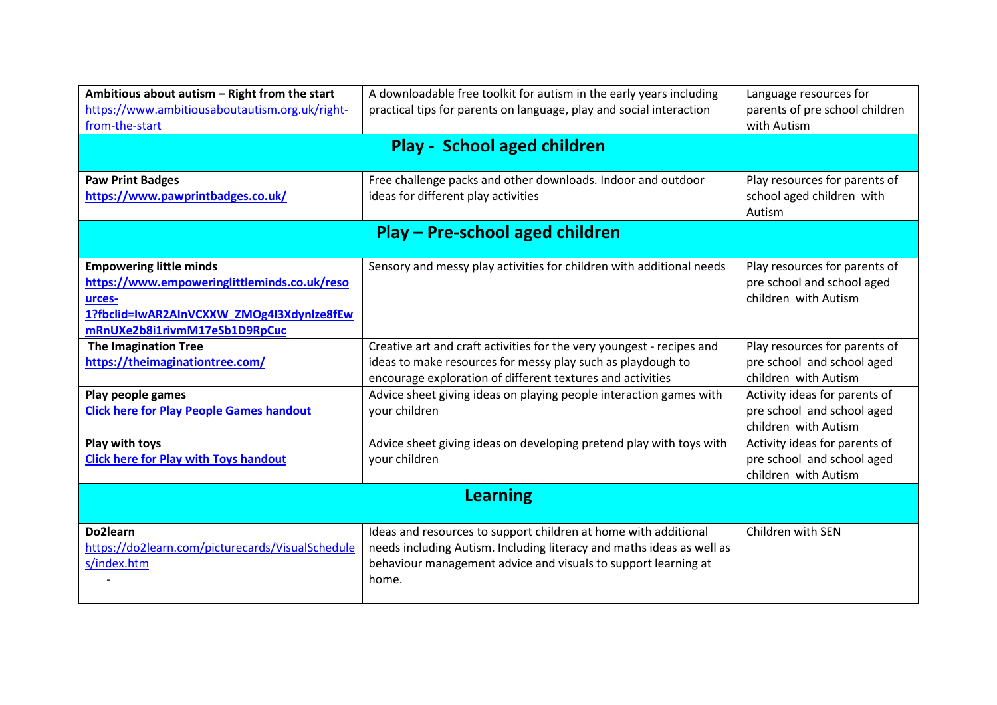| Ambitious about autism - Right from the start<br>https://www.ambitiousaboutautism.org.uk/right-<br>from-the-start                                                      | A downloadable free toolkit for autism in the early years including<br>practical tips for parents on language, play and social interaction                                                                          | Language resources for<br>parents of pre school children<br>with Autism             |  |
|------------------------------------------------------------------------------------------------------------------------------------------------------------------------|---------------------------------------------------------------------------------------------------------------------------------------------------------------------------------------------------------------------|-------------------------------------------------------------------------------------|--|
| Play - School aged children                                                                                                                                            |                                                                                                                                                                                                                     |                                                                                     |  |
| <b>Paw Print Badges</b><br>https://www.pawprintbadges.co.uk/                                                                                                           | Free challenge packs and other downloads. Indoor and outdoor<br>ideas for different play activities                                                                                                                 | Play resources for parents of<br>school aged children with<br>Autism                |  |
| Play - Pre-school aged children                                                                                                                                        |                                                                                                                                                                                                                     |                                                                                     |  |
| <b>Empowering little minds</b><br>https://www.empoweringlittleminds.co.uk/reso<br>urces-<br>1?fbclid=IwAR2AInVCXXW_ZMOg4I3Xdynlze8fEw<br>mRnUXe2b8i1rivmM17eSb1D9RpCuc | Sensory and messy play activities for children with additional needs                                                                                                                                                | Play resources for parents of<br>pre school and school aged<br>children with Autism |  |
| <b>The Imagination Tree</b><br>https://theimaginationtree.com/                                                                                                         | Creative art and craft activities for the very youngest - recipes and<br>ideas to make resources for messy play such as playdough to<br>encourage exploration of different textures and activities                  | Play resources for parents of<br>pre school and school aged<br>children with Autism |  |
| Play people games<br><b>Click here for Play People Games handout</b>                                                                                                   | Advice sheet giving ideas on playing people interaction games with<br>your children                                                                                                                                 | Activity ideas for parents of<br>pre school and school aged<br>children with Autism |  |
| Play with toys<br><b>Click here for Play with Toys handout</b>                                                                                                         | Advice sheet giving ideas on developing pretend play with toys with<br>your children                                                                                                                                | Activity ideas for parents of<br>pre school and school aged<br>children with Autism |  |
| <b>Learning</b>                                                                                                                                                        |                                                                                                                                                                                                                     |                                                                                     |  |
| Do2learn<br>https://do2learn.com/picturecards/VisualSchedule<br>s/index.htm                                                                                            | Ideas and resources to support children at home with additional<br>needs including Autism. Including literacy and maths ideas as well as<br>behaviour management advice and visuals to support learning at<br>home. | Children with SEN                                                                   |  |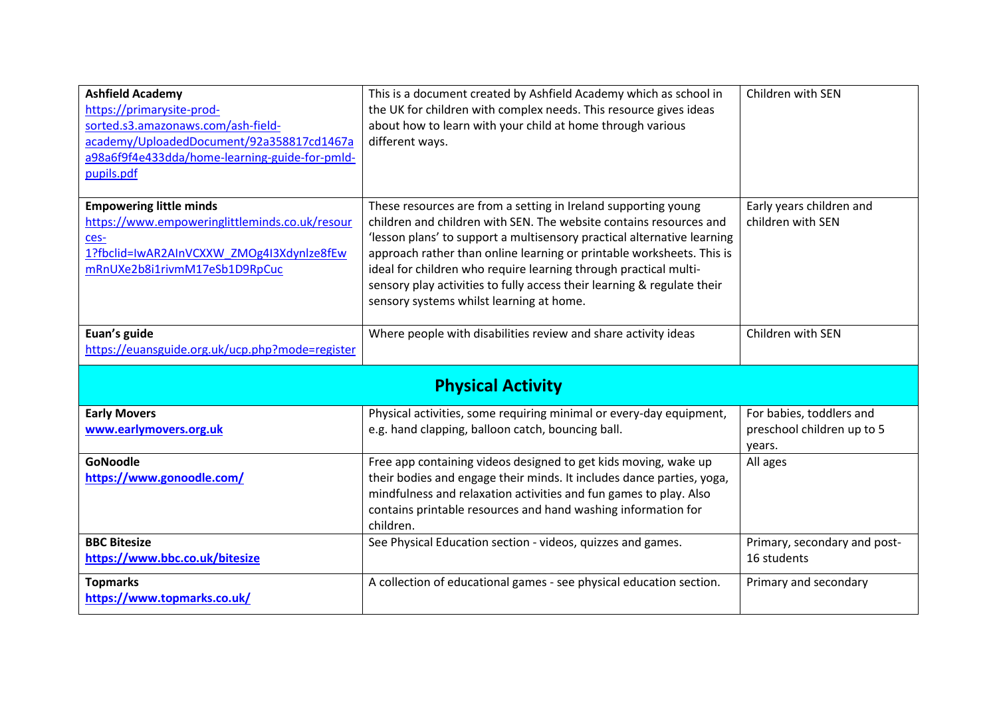| <b>Ashfield Academy</b><br>https://primarysite-prod-<br>sorted.s3.amazonaws.com/ash-field-<br>academy/UploadedDocument/92a358817cd1467a<br>a98a6f9f4e433dda/home-learning-guide-for-pmld-<br>pupils.pdf | This is a document created by Ashfield Academy which as school in<br>the UK for children with complex needs. This resource gives ideas<br>about how to learn with your child at home through various<br>different ways.                                                                                                                                                                                                                                                             | Children with SEN                             |  |
|---------------------------------------------------------------------------------------------------------------------------------------------------------------------------------------------------------|-------------------------------------------------------------------------------------------------------------------------------------------------------------------------------------------------------------------------------------------------------------------------------------------------------------------------------------------------------------------------------------------------------------------------------------------------------------------------------------|-----------------------------------------------|--|
| <b>Empowering little minds</b><br>https://www.empoweringlittleminds.co.uk/resour<br>ces-<br>1?fbclid=IwAR2AInVCXXW ZMOg4I3Xdynlze8fEw<br>mRnUXe2b8i1rivmM17eSb1D9RpCuc                                  | These resources are from a setting in Ireland supporting young<br>children and children with SEN. The website contains resources and<br>'lesson plans' to support a multisensory practical alternative learning<br>approach rather than online learning or printable worksheets. This is<br>ideal for children who require learning through practical multi-<br>sensory play activities to fully access their learning & regulate their<br>sensory systems whilst learning at home. | Early years children and<br>children with SEN |  |
| Euan's guide<br>https://euansguide.org.uk/ucp.php?mode=register                                                                                                                                         | Where people with disabilities review and share activity ideas                                                                                                                                                                                                                                                                                                                                                                                                                      | Children with SEN                             |  |
| <b>Physical Activity</b>                                                                                                                                                                                |                                                                                                                                                                                                                                                                                                                                                                                                                                                                                     |                                               |  |
| <b>Early Movers</b>                                                                                                                                                                                     | Physical activities, some requiring minimal or every-day equipment,                                                                                                                                                                                                                                                                                                                                                                                                                 | For babies, toddlers and                      |  |
| www.earlymovers.org.uk                                                                                                                                                                                  | e.g. hand clapping, balloon catch, bouncing ball.                                                                                                                                                                                                                                                                                                                                                                                                                                   | preschool children up to 5<br>years.          |  |
| <b>GoNoodle</b><br>https://www.gonoodle.com/                                                                                                                                                            | Free app containing videos designed to get kids moving, wake up<br>their bodies and engage their minds. It includes dance parties, yoga,<br>mindfulness and relaxation activities and fun games to play. Also<br>contains printable resources and hand washing information for<br>children.                                                                                                                                                                                         | All ages                                      |  |
| <b>BBC Bitesize</b><br>https://www.bbc.co.uk/bitesize                                                                                                                                                   | See Physical Education section - videos, quizzes and games.                                                                                                                                                                                                                                                                                                                                                                                                                         | Primary, secondary and post-<br>16 students   |  |
| <b>Topmarks</b><br>https://www.topmarks.co.uk/                                                                                                                                                          | A collection of educational games - see physical education section.                                                                                                                                                                                                                                                                                                                                                                                                                 | Primary and secondary                         |  |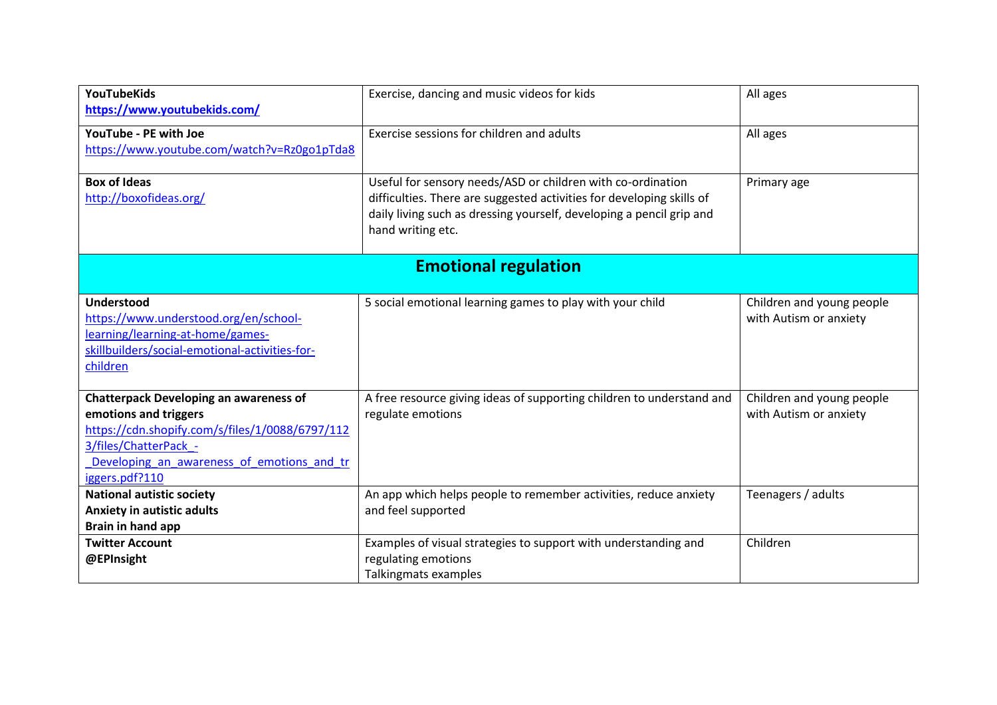| <b>YouTubeKids</b>                              | Exercise, dancing and music videos for kids                           | All ages                  |
|-------------------------------------------------|-----------------------------------------------------------------------|---------------------------|
| https://www.youtubekids.com/                    |                                                                       |                           |
| YouTube - PE with Joe                           | Exercise sessions for children and adults                             | All ages                  |
| https://www.youtube.com/watch?v=Rz0go1pTda8     |                                                                       |                           |
| <b>Box of Ideas</b>                             | Useful for sensory needs/ASD or children with co-ordination           | Primary age               |
| http://boxofideas.org/                          | difficulties. There are suggested activities for developing skills of |                           |
|                                                 | daily living such as dressing yourself, developing a pencil grip and  |                           |
|                                                 | hand writing etc.                                                     |                           |
|                                                 |                                                                       |                           |
|                                                 | <b>Emotional regulation</b>                                           |                           |
|                                                 |                                                                       |                           |
| <b>Understood</b>                               | 5 social emotional learning games to play with your child             | Children and young people |
| https://www.understood.org/en/school-           |                                                                       | with Autism or anxiety    |
| learning/learning-at-home/games-                |                                                                       |                           |
| skillbuilders/social-emotional-activities-for-  |                                                                       |                           |
| children                                        |                                                                       |                           |
| <b>Chatterpack Developing an awareness of</b>   | A free resource giving ideas of supporting children to understand and | Children and young people |
| emotions and triggers                           | regulate emotions                                                     | with Autism or anxiety    |
| https://cdn.shopify.com/s/files/1/0088/6797/112 |                                                                       |                           |
| 3/files/ChatterPack -                           |                                                                       |                           |
| Developing an awareness of emotions and tr      |                                                                       |                           |
| iggers.pdf?110                                  |                                                                       |                           |
| <b>National autistic society</b>                | An app which helps people to remember activities, reduce anxiety      | Teenagers / adults        |
| <b>Anxiety in autistic adults</b>               | and feel supported                                                    |                           |
| Brain in hand app                               |                                                                       |                           |
| <b>Twitter Account</b>                          | Examples of visual strategies to support with understanding and       | Children                  |
| @EPInsight                                      | regulating emotions                                                   |                           |
|                                                 | Talkingmats examples                                                  |                           |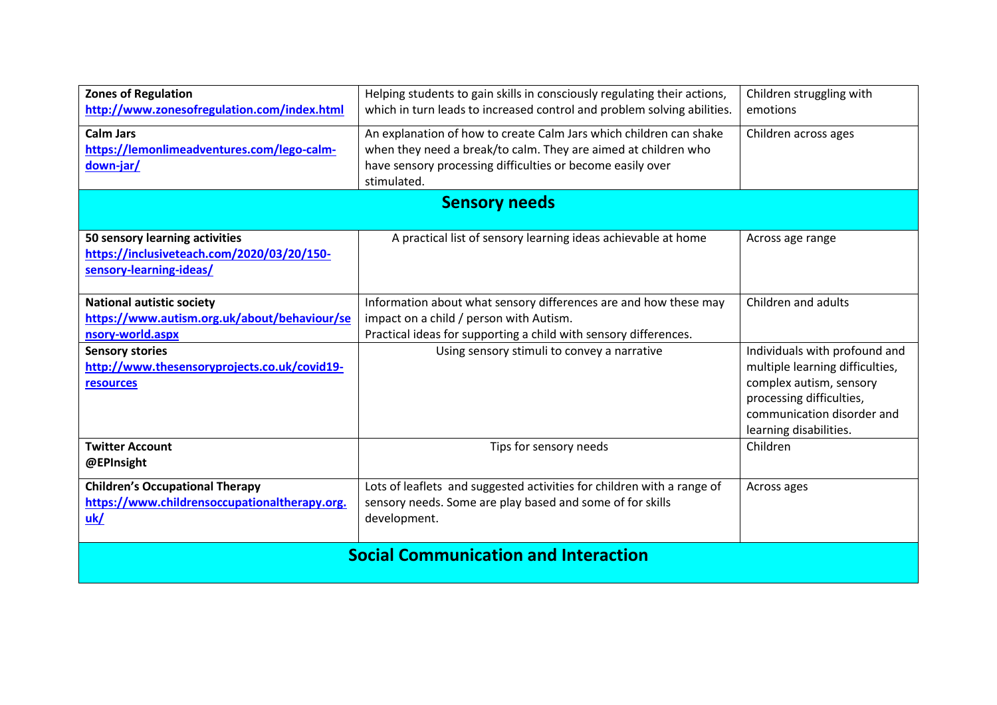| <b>Zones of Regulation</b>                    | Helping students to gain skills in consciously regulating their actions,<br>which in turn leads to increased control and problem solving abilities. | Children struggling with        |
|-----------------------------------------------|-----------------------------------------------------------------------------------------------------------------------------------------------------|---------------------------------|
| http://www.zonesofregulation.com/index.html   |                                                                                                                                                     | emotions                        |
| <b>Calm Jars</b>                              | An explanation of how to create Calm Jars which children can shake                                                                                  | Children across ages            |
| https://lemonlimeadventures.com/lego-calm-    | when they need a break/to calm. They are aimed at children who                                                                                      |                                 |
| down-jar/                                     | have sensory processing difficulties or become easily over                                                                                          |                                 |
|                                               | stimulated.                                                                                                                                         |                                 |
|                                               | <b>Sensory needs</b>                                                                                                                                |                                 |
| 50 sensory learning activities                | A practical list of sensory learning ideas achievable at home                                                                                       |                                 |
| https://inclusiveteach.com/2020/03/20/150-    |                                                                                                                                                     | Across age range                |
| sensory-learning-ideas/                       |                                                                                                                                                     |                                 |
|                                               |                                                                                                                                                     |                                 |
| <b>National autistic society</b>              | Information about what sensory differences are and how these may                                                                                    | Children and adults             |
| https://www.autism.org.uk/about/behaviour/se  | impact on a child / person with Autism.                                                                                                             |                                 |
| nsory-world.aspx                              | Practical ideas for supporting a child with sensory differences.                                                                                    |                                 |
| <b>Sensory stories</b>                        | Using sensory stimuli to convey a narrative                                                                                                         | Individuals with profound and   |
| http://www.thesensoryprojects.co.uk/covid19-  |                                                                                                                                                     | multiple learning difficulties, |
| resources                                     |                                                                                                                                                     | complex autism, sensory         |
|                                               |                                                                                                                                                     | processing difficulties,        |
|                                               |                                                                                                                                                     | communication disorder and      |
|                                               |                                                                                                                                                     | learning disabilities.          |
| <b>Twitter Account</b>                        | Tips for sensory needs                                                                                                                              | Children                        |
| @EPInsight                                    |                                                                                                                                                     |                                 |
| <b>Children's Occupational Therapy</b>        | Lots of leaflets and suggested activities for children with a range of                                                                              | Across ages                     |
| https://www.childrensoccupationaltherapy.org. | sensory needs. Some are play based and some of for skills                                                                                           |                                 |
| uk/                                           | development.                                                                                                                                        |                                 |
|                                               |                                                                                                                                                     |                                 |
| <b>Social Communication and Interaction</b>   |                                                                                                                                                     |                                 |
|                                               |                                                                                                                                                     |                                 |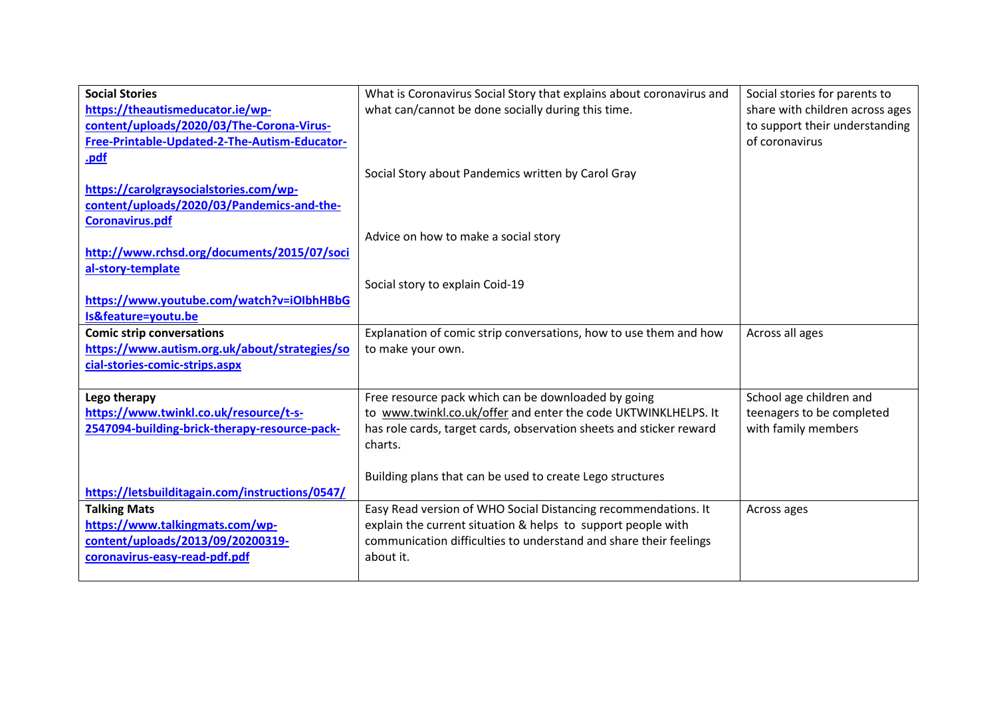| <b>Social Stories</b>                           | What is Coronavirus Social Story that explains about coronavirus and | Social stories for parents to   |
|-------------------------------------------------|----------------------------------------------------------------------|---------------------------------|
| https://theautismeducator.ie/wp-                | what can/cannot be done socially during this time.                   | share with children across ages |
| content/uploads/2020/03/The-Corona-Virus-       |                                                                      | to support their understanding  |
| Free-Printable-Updated-2-The-Autism-Educator-   |                                                                      | of coronavirus                  |
| .pdf                                            |                                                                      |                                 |
|                                                 | Social Story about Pandemics written by Carol Gray                   |                                 |
| https://carolgraysocialstories.com/wp-          |                                                                      |                                 |
| content/uploads/2020/03/Pandemics-and-the-      |                                                                      |                                 |
| <b>Coronavirus.pdf</b>                          |                                                                      |                                 |
|                                                 | Advice on how to make a social story                                 |                                 |
| http://www.rchsd.org/documents/2015/07/soci     |                                                                      |                                 |
| al-story-template                               |                                                                      |                                 |
|                                                 | Social story to explain Coid-19                                      |                                 |
| https://www.youtube.com/watch?v=iOlbhHBbG       |                                                                      |                                 |
| Is&feature=youtu.be                             |                                                                      |                                 |
| <b>Comic strip conversations</b>                | Explanation of comic strip conversations, how to use them and how    | Across all ages                 |
| https://www.autism.org.uk/about/strategies/so   | to make your own.                                                    |                                 |
| cial-stories-comic-strips.aspx                  |                                                                      |                                 |
|                                                 |                                                                      |                                 |
| Lego therapy                                    | Free resource pack which can be downloaded by going                  | School age children and         |
| https://www.twinkl.co.uk/resource/t-s-          | to www.twinkl.co.uk/offer and enter the code UKTWINKLHELPS. It       | teenagers to be completed       |
| 2547094-building-brick-therapy-resource-pack-   | has role cards, target cards, observation sheets and sticker reward  | with family members             |
|                                                 | charts.                                                              |                                 |
|                                                 |                                                                      |                                 |
|                                                 | Building plans that can be used to create Lego structures            |                                 |
| https://letsbuilditagain.com/instructions/0547/ |                                                                      |                                 |
| <b>Talking Mats</b>                             | Easy Read version of WHO Social Distancing recommendations. It       | Across ages                     |
| https://www.talkingmats.com/wp-                 | explain the current situation & helps to support people with         |                                 |
| content/uploads/2013/09/20200319-               | communication difficulties to understand and share their feelings    |                                 |
| coronavirus-easy-read-pdf.pdf                   | about it.                                                            |                                 |
|                                                 |                                                                      |                                 |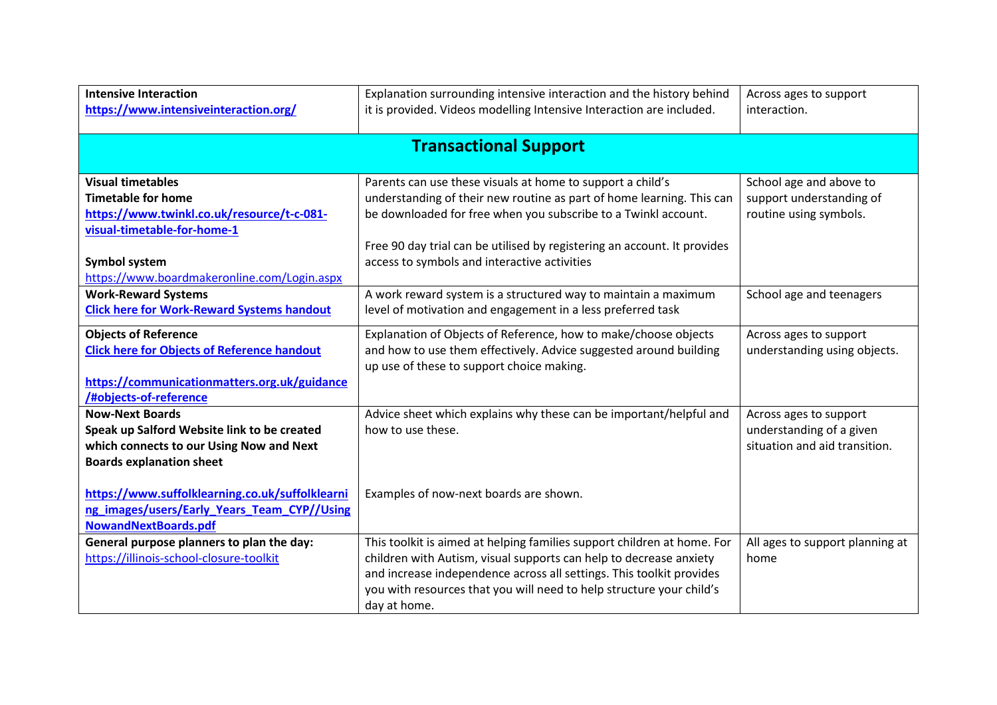| <b>Intensive Interaction</b><br>https://www.intensiveinteraction.org/ | Explanation surrounding intensive interaction and the history behind<br>it is provided. Videos modelling Intensive Interaction are included. | Across ages to support<br>interaction. |
|-----------------------------------------------------------------------|----------------------------------------------------------------------------------------------------------------------------------------------|----------------------------------------|
|                                                                       |                                                                                                                                              |                                        |
|                                                                       | <b>Transactional Support</b>                                                                                                                 |                                        |
|                                                                       |                                                                                                                                              |                                        |
| <b>Visual timetables</b>                                              | Parents can use these visuals at home to support a child's                                                                                   | School age and above to                |
| <b>Timetable for home</b>                                             | understanding of their new routine as part of home learning. This can                                                                        | support understanding of               |
| https://www.twinkl.co.uk/resource/t-c-081-                            | be downloaded for free when you subscribe to a Twinkl account.                                                                               | routine using symbols.                 |
| visual-timetable-for-home-1                                           |                                                                                                                                              |                                        |
|                                                                       | Free 90 day trial can be utilised by registering an account. It provides                                                                     |                                        |
| Symbol system                                                         | access to symbols and interactive activities                                                                                                 |                                        |
| https://www.boardmakeronline.com/Login.aspx                           |                                                                                                                                              |                                        |
| <b>Work-Reward Systems</b>                                            | A work reward system is a structured way to maintain a maximum                                                                               | School age and teenagers               |
| <b>Click here for Work-Reward Systems handout</b>                     | level of motivation and engagement in a less preferred task                                                                                  |                                        |
| <b>Objects of Reference</b>                                           | Explanation of Objects of Reference, how to make/choose objects                                                                              | Across ages to support                 |
| <b>Click here for Objects of Reference handout</b>                    | and how to use them effectively. Advice suggested around building<br>up use of these to support choice making.                               | understanding using objects.           |
| https://communicationmatters.org.uk/guidance                          |                                                                                                                                              |                                        |
| /#objects-of-reference                                                |                                                                                                                                              |                                        |
| <b>Now-Next Boards</b>                                                | Advice sheet which explains why these can be important/helpful and                                                                           | Across ages to support                 |
| Speak up Salford Website link to be created                           | how to use these.                                                                                                                            | understanding of a given               |
| which connects to our Using Now and Next                              |                                                                                                                                              | situation and aid transition.          |
| <b>Boards explanation sheet</b>                                       |                                                                                                                                              |                                        |
|                                                                       |                                                                                                                                              |                                        |
| https://www.suffolklearning.co.uk/suffolklearni                       | Examples of now-next boards are shown.                                                                                                       |                                        |
| ng images/users/Early Years Team CYP//Using                           |                                                                                                                                              |                                        |
| NowandNextBoards.pdf                                                  |                                                                                                                                              |                                        |
| General purpose planners to plan the day:                             | This toolkit is aimed at helping families support children at home. For                                                                      | All ages to support planning at        |
| https://illinois-school-closure-toolkit                               | children with Autism, visual supports can help to decrease anxiety                                                                           | home                                   |
|                                                                       | and increase independence across all settings. This toolkit provides                                                                         |                                        |
|                                                                       | you with resources that you will need to help structure your child's                                                                         |                                        |
|                                                                       | day at home.                                                                                                                                 |                                        |